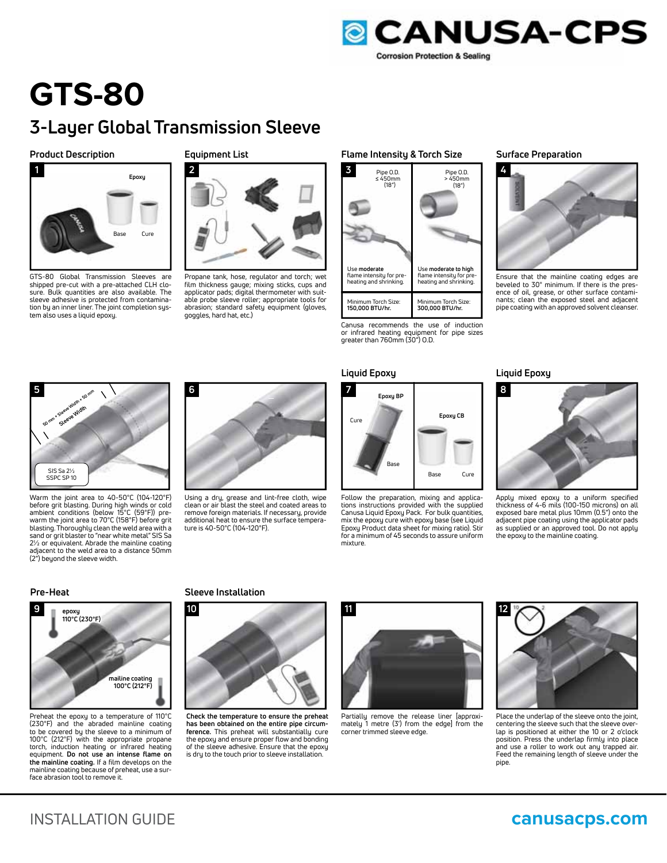

# **GTS-80 3-Layer Global Transmission Sleeve**

### **Product Description**



GTS-80 Global Transmission Sleeves are shipped pre-cut with a pre-attached CLH closure. Bulk quantities are also available. The sleeve adhesive is protected from contamination by an inner liner. The joint completion system also uses a liquid epoxy.

# **Equipment List**



Propane tank, hose, regulator and torch; wet film thickness gauge; mixing sticks, cups and applicator pads; digital thermometer with suitable probe sleeve roller; appropriate tools for abrasion; standard safety equipment (gloves, goggles, hard hat, etc.)

### **Flame Intensity & Torch Size Surface Preparation**



Canusa recommends the use of induction or infrared heating equipment for pipe sizes greater than 760mm (30") O.D.

# **Liquid Epoxy Liquid Epoxy**



Follow the preparation, mixing and applica-Canusa Liquid Epoxy Pack. For bulk quantities, Epoxy Product data sheet for mixing ratio). Stir mixture.



Ensure that the mainline coating edges are beveled to 30° minimum. If there is the presence of oil, grease, or other surface contaminants; clean the exposed steel and adjacent pipe coating with an approved solvent cleanser.



Warm the joint area to 40-50°C (104-120°F) before grit blasting. During high winds or cold ambient conditions (below 15°C (59°F)) prewarm the joint area to 70°C (158°F) before grit blasting. Thoroughly clean the weld area with a sand or grit blaster to "near white metal" SIS Sa 2½ or equivalent. Abrade the mainline coating adjacent to the weld area to a distance 50mm (2") beyond the sleeve width.



Using a dry, grease and lint-free cloth, wipe clean or air blast the steel and coated areas to remove foreign materials. If necessary, provide additional heat to ensure the surface temperature is 40-50°C (104-120°F).



tions instructions provided with the supplied mix the epoxy cure with epoxy base (see Liquid for a minimum of 45 seconds to assure uniform



Apply mixed epoxy to a uniform specified thickness of 4-6 mils (100-150 microns) on all exposed bare metal plus 10mm (0.5") onto the adjacent pipe coating using the applicator pads as supplied or an approved tool. Do not apply the epoxy to the mainline coating.



Preheat the epoxy to a temperature of 110°C (230°F) and the abraded mainline coating to be covered by the sleeve to a minimum of 100°C (212°F) with the appropriate propane torch, induction heating or infrared heating equipment. **Do not use an intense flame on the mainline coating.** If a film develops on the mainline coating because of preheat, use a sur-face abrasion tool to remove it.

### **Pre-Heat Sleeve Installation**



**Check the temperature to ensure the preheat has been obtained on the entire pipe circumference.** This preheat will substantially cure the epoxy and ensure proper flow and bonding of the sleeve adhesive. Ensure that the epoxy is dry to the touch prior to sleeve installation.



Partially remove the release liner [approxi-mately 1 metre (3') from the edge] from the corner trimmed sleeve edge.



Place the underlap of the sleeve onto the joint, centering the sleeve such that the sleeve overlap is positioned at either the 10 or 2 o'clock position. Press the underlap firmly into place and use a roller to work out any trapped air. Feed the remaining length of sleeve under the pipe.